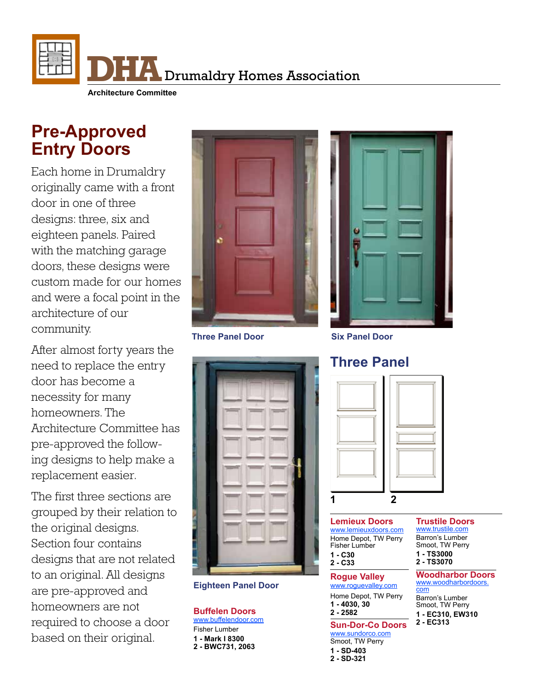

# **Pre-Approved Entry Doors**

Each home in Drumaldry originally came with a front door in one of three designs: three, six and eighteen panels. Paired with the matching garage doors, these designs were custom made for our homes and were a focal point in the architecture of our community.

After almost forty years the need to replace the entry door has become a necessity for many homeowners. The Architecture Committee has pre-approved the following designs to help make a replacement easier.

The first three sections are grouped by their relation to the original designs. Section four contains designs that are not related to an original. All designs are pre-approved and homeowners are not required to choose a door based on their original.





**Three Panel Door Six Panel Door**



## **Eighteen Panel Door**

**Buffelen Doors** [www.buffelendoor.com](http://www.buffelendoor.com/door-series/entry-doors/) Fisher Lumber **1 - Mark I 8300** 

**2 - BWC731, 2063**

# **Three Panel**



**Lemieux Doors** [www.lemieuxdoors.com](http://www.lemieuxdoors.com/) Home Depot, TW Perry Fisher Lumber **1 - C30 2 - C33**

## **Rogue Valley**

[www.roguevalley.com](http://www.roguevalley.com) Home Depot, TW Perry **1 - 4030, 30 2 - 2582**

**Sun-Dor-Co Doors** [www.sundorco.com](http://www.sundorco.com) Smoot, TW Perry **1 - SD-403**

## **2 - SD-321**

## **Trustile Doors**

[www.trustile.com](http://www.trustile.com/catalog/exteriordoors/%253Fseries%253D0) Barron's Lumber Smoot, TW Perry **1 - TS3000**

## **2 - TS3070**

**Woodharbor Doors** [www.woodharbordoors.](http://www.woodharbordoors.com/catalog/exterior-wood-doors) [com](http://www.woodharbordoors.com/catalog/exterior-wood-doors)

Barron's Lumber Smoot, TW Perry **1 - EC310, EW310 2 - EC313**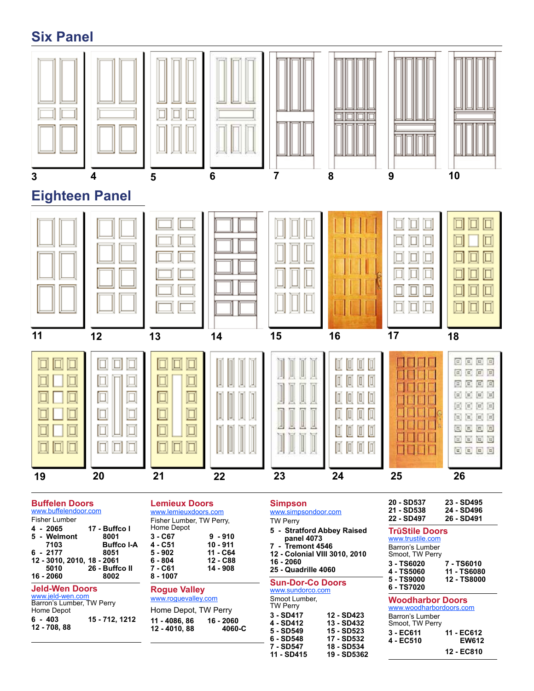# **Six Panel**



#### **Buffelen Doors** [www.buffelendoor.com](http://www.buffelendoor.com/door-series/entry-doors/)

**12 - 708, 88** 

| 5 - Welmont<br>8001<br><b>Buffco I-A</b><br>7103<br>$6 - 2177$<br>8051<br>12 - 3010, 2010, 18 - 2061<br>26 - Buffco II<br>5010<br>16 - 2060<br>8002 | $5 - 902$<br>6 - 804<br>7 - C61<br>8 - 1007 |
|-----------------------------------------------------------------------------------------------------------------------------------------------------|---------------------------------------------|
| <b>Jeld-Wen Doors</b><br>www.jeld-wen.com<br>Barron's Lumber, TW Perry                                                                              | <b>Rogue</b><br>www.rog                     |
| Home Depot<br>15 - 712, 1212<br>$6 - 403$                                                                                                           | Home D<br>11 - 408                          |

| <b>Lemieux Doors</b>     |
|--------------------------|
| www.lemieuxdoors.com     |
| Fisher Lumber, TW Perry, |

| Home Depot |           |
|------------|-----------|
| 3 - C67    | $9 - 910$ |
| 4 - C51    | 10 - 911  |
| 5 - 902    | 11 - C64  |
| 6 - 804    | 12 - C88  |
| 7 - C61    | 14 - 908  |
| 8 - 1007   |           |

### **Rogue Valley**

roguevalley.com e Depot, TW Perry **11 - 4086, 86 16 - 2060 12 - 4010, 88** 

## **Simpson** [www.simpsondoor.com](http://www.simpsondoor.com)

- TW Perry
- **5 Stratford Abbey Raised**
- **panel 4073 7 - Tremont 4546**
- **12 Colonial VIII 3010, 2010**
- **16 2060**
- **25 Quadrille 4060**

## **Sun-Dor-Co Doors**

| www.sundorco.com                 |             |
|----------------------------------|-------------|
| Smoot Lumber,<br><b>TW Perry</b> |             |
| $3 - SD417$                      | 12 - SD423  |
| 4 - SD412                        | 13 - SD432  |
| 5 - SD549                        | 15 - SD523  |
| 6 - SD548                        | 17 - SD532  |
| 7 - SD547                        | 18 - SD534  |
| 11 - SD415                       | 19 - SD5362 |

| 20 - SD537 | 23 - SD495 |
|------------|------------|
| 21 - SD538 | 24 - SD496 |
| 22 - SD497 | 26 - SD491 |

#### **TrūStile Doors** [www.trustile.com](http://www.trustile.com/catalog/exteriordoors/%3Fseries%3D0)

Barron's Lumber Smoot, TW Perry

| 3 - TS6020 | 7 - TS6010  |
|------------|-------------|
| 4 - TS5060 | 11 - TS6080 |
| 5 - TS9000 | 12 - TS8000 |
| 6 - TS7020 |             |

### **Woodharbor Doors**

[www.woodharbordoors.com](http://www.woodharbordoors.com/catalog/exterior-wood-doors) Barron's Lumber Smoot, TW Perry **3 - EC611 11 - EC612 4 - EC510 12 - EC810**